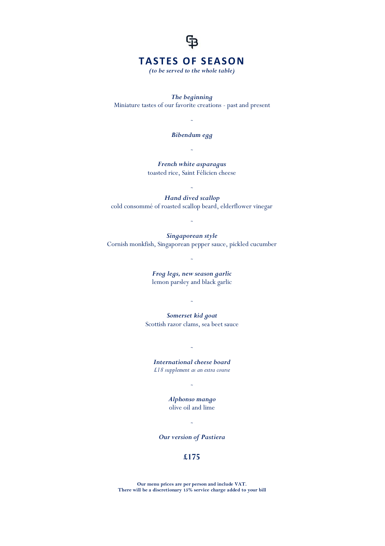

## **TASTES OF SEASON**

*(to be served to the whole table)*

*The beginning* Miniature tastes of our favorite creations - past and present

˜

*Bibendum egg* ˜

*French white asparagus* toasted rice, Saint Félicien cheese

˜ *Hand dived scallop* cold consommé of roasted scallop beard, elderflower vinegar

˜ *Singaporean style* Cornish monkfish, Singaporean pepper sauce, pickled cucumber

> ˜ *Frog legs, new season garlic* lemon parsley and black garlic

˜ *Somerset kid goat* Scottish razor clams, sea beet sauce

*International cheese board £18 supplement as an extra course*

˜

˜ *Alphonso mango* olive oil and lime

˜ *Our version of Pastiera* 

## **£175**

**Our menu prices are per person and include VAT. There will be a discretionary 15% service charge added to your bill**